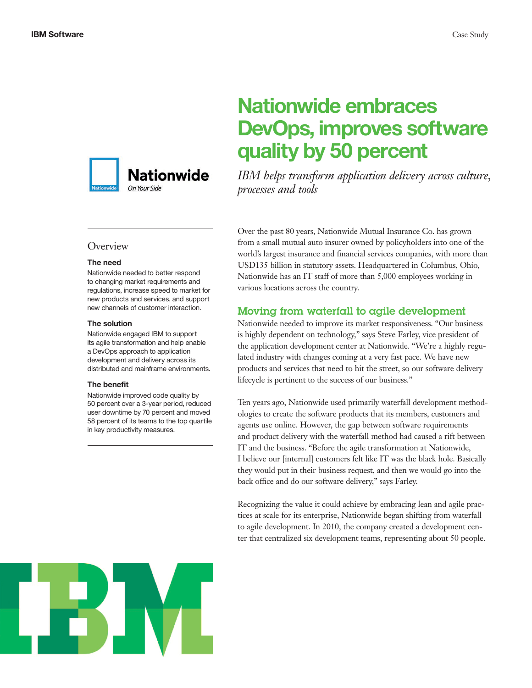

# **Overview**

#### **The need**

Nationwide needed to better respond to changing market requirements and regulations, increase speed to market for new products and services, and support new channels of customer interaction.

#### **The solution**

Nationwide engaged IBM to support its agile transformation and help enable a DevOps approach to application development and delivery across its distributed and mainframe environments.

#### **The benefit**

Nationwide improved code quality by 50 percent over a 3-year period, reduced user downtime by 70 percent and moved 58 percent of its teams to the top quartile in key productivity measures.

# **Nationwide embraces DevOps, improves software quality by 50 percent**

*IBM helps transform application delivery across culture, processes and tools*

Over the past 80 years, Nationwide Mutual Insurance Co. has grown from a small mutual auto insurer owned by policyholders into one of the world's largest insurance and financial services companies, with more than USD135 billion in statutory assets. Headquartered in Columbus, Ohio, Nationwide has an IT staff of more than 5,000 employees working in various locations across the country.

## Moving from waterfall to agile development

Nationwide needed to improve its market responsiveness. "Our business is highly dependent on technology," says Steve Farley, vice president of the application development center at Nationwide. "We're a highly regulated industry with changes coming at a very fast pace. We have new products and services that need to hit the street, so our software delivery lifecycle is pertinent to the success of our business."

Ten years ago, Nationwide used primarily waterfall development methodologies to create the software products that its members, customers and agents use online. However, the gap between software requirements and product delivery with the waterfall method had caused a rift between IT and the business. "Before the agile transformation at Nationwide, I believe our [internal] customers felt like IT was the black hole. Basically they would put in their business request, and then we would go into the back office and do our software delivery," says Farley.

Recognizing the value it could achieve by embracing lean and agile practices at scale for its enterprise, Nationwide began shifting from waterfall to agile development. In 2010, the company created a development center that centralized six development teams, representing about 50 people.

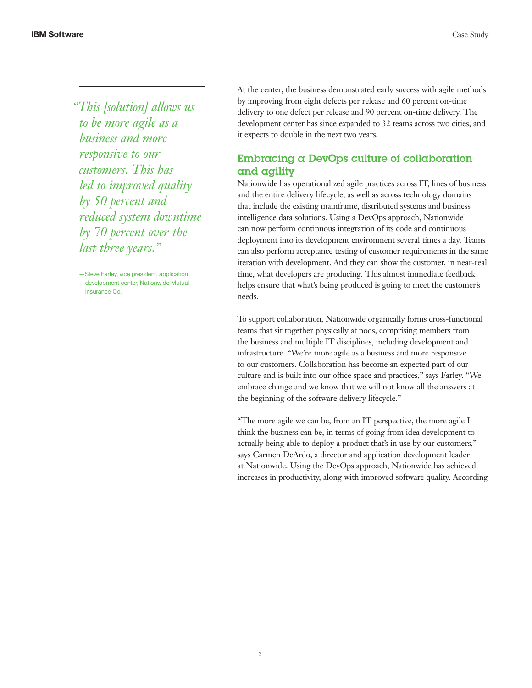*"This [solution] allows us to be more agile as a business and more responsive to our customers. This has led to improved quality by 50 percent and reduced system downtime by 70 percent over the last three years."*

—Steve Farley, vice president, application development center, Nationwide Mutual Insurance Co.

At the center, the business demonstrated early success with agile methods by improving from eight defects per release and 60 percent on-time delivery to one defect per release and 90 percent on-time delivery. The development center has since expanded to 32 teams across two cities, and it expects to double in the next two years.

# Embracing a DevOps culture of collaboration and agility

Nationwide has operationalized agile practices across IT, lines of business and the entire delivery lifecycle, as well as across technology domains that include the existing mainframe, distributed systems and business intelligence data solutions. Using a DevOps approach, Nationwide can now perform continuous integration of its code and continuous deployment into its development environment several times a day. Teams can also perform acceptance testing of customer requirements in the same iteration with development. And they can show the customer, in near-real time, what developers are producing. This almost immediate feedback helps ensure that what's being produced is going to meet the customer's needs.

To support collaboration, Nationwide organically forms cross-functional teams that sit together physically at pods, comprising members from the business and multiple IT disciplines, including development and infrastructure. "We're more agile as a business and more responsive to our customers. Collaboration has become an expected part of our culture and is built into our office space and practices," says Farley. "We embrace change and we know that we will not know all the answers at the beginning of the software delivery lifecycle."

"The more agile we can be, from an IT perspective, the more agile I think the business can be, in terms of going from idea development to actually being able to deploy a product that's in use by our customers," says Carmen DeArdo, a director and application development leader at Nationwide. Using the DevOps approach, Nationwide has achieved increases in productivity, along with improved software quality. According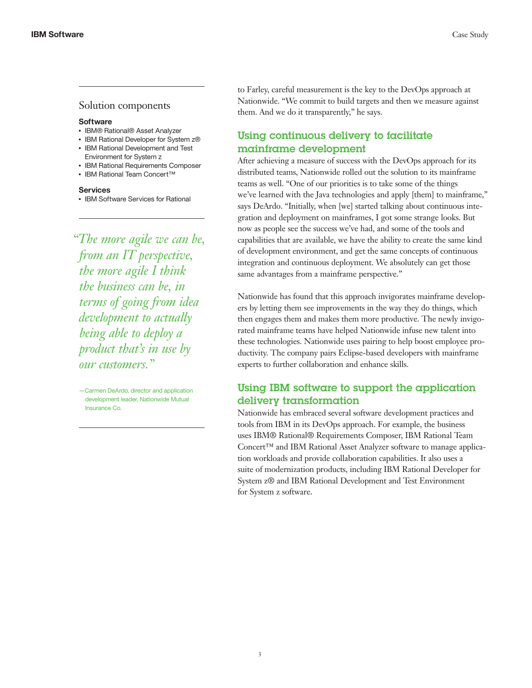## Solution components

#### **Software**

- IBM® Rational® Asset Analyzer
- IBM Rational Developer for System z® • IBM Rational Development and Test
- Environment for System z • IBM Rational Requirements Composer
- IBM Rational Team Concert™

#### **Services**

• IBM Software Services for Rational

*"The more agile we can be, from an IT perspective, the more agile I think the business can be, in terms of going from idea development to actually being able to deploy a product that's in use by our customers."*

—Carmen DeArdo, director and application development leader, Nationwide Mutual Insurance Co.

to Farley, careful measurement is the key to the DevOps approach at Nationwide. "We commit to build targets and then we measure against them. And we do it transparently," he says.

# Using continuous delivery to facilitate mainframe development

After achieving a measure of success with the DevOps approach for its distributed teams, Nationwide rolled out the solution to its mainframe teams as well. "One of our priorities is to take some of the things we've learned with the Java technologies and apply [them] to mainframe," says DeArdo. "Initially, when [we] started talking about continuous integration and deployment on mainframes, I got some strange looks. But now as people see the success we've had, and some of the tools and capabilities that are available, we have the ability to create the same kind of development environment, and get the same concepts of continuous integration and continuous deployment. We absolutely can get those same advantages from a mainframe perspective."

Nationwide has found that this approach invigorates mainframe developers by letting them see improvements in the way they do things, which then engages them and makes them more productive. The newly invigorated mainframe teams have helped Nationwide infuse new talent into these technologies. Nationwide uses pairing to help boost employee productivity. The company pairs Eclipse-based developers with mainframe experts to further collaboration and enhance skills.

# Using IBM software to support the application delivery transformation

Nationwide has embraced several software development practices and tools from IBM in its DevOps approach. For example, the business uses IBM® Rational® Requirements Composer, IBM Rational Team Concert™ and IBM Rational Asset Analyzer software to manage application workloads and provide collaboration capabilities. It also uses a suite of modernization products, including IBM Rational Developer for System z® and IBM Rational Development and Test Environment for System z software.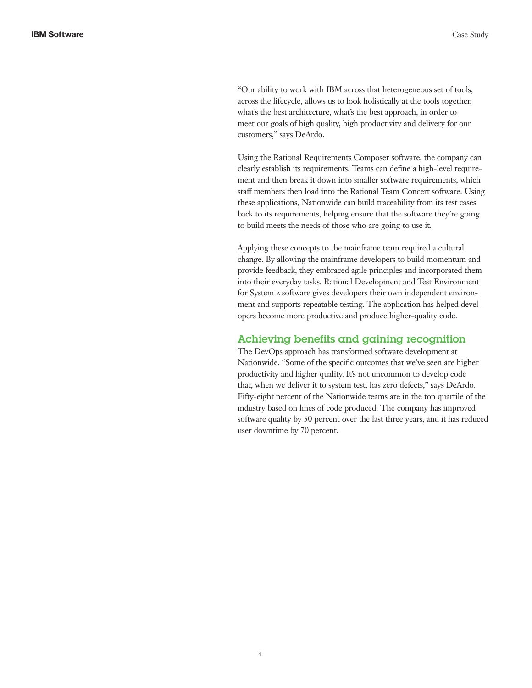"Our ability to work with IBM across that heterogeneous set of tools, across the lifecycle, allows us to look holistically at the tools together, what's the best architecture, what's the best approach, in order to meet our goals of high quality, high productivity and delivery for our customers," says DeArdo.

Using the Rational Requirements Composer software, the company can clearly establish its requirements. Teams can define a high-level requirement and then break it down into smaller software requirements, which staff members then load into the Rational Team Concert software. Using these applications, Nationwide can build traceability from its test cases back to its requirements, helping ensure that the software they're going to build meets the needs of those who are going to use it.

Applying these concepts to the mainframe team required a cultural change. By allowing the mainframe developers to build momentum and provide feedback, they embraced agile principles and incorporated them into their everyday tasks. Rational Development and Test Environment for System z software gives developers their own independent environment and supports repeatable testing. The application has helped developers become more productive and produce higher-quality code.

## Achieving benefits and gaining recognition

The DevOps approach has transformed software development at Nationwide. "Some of the specific outcomes that we've seen are higher productivity and higher quality. It's not uncommon to develop code that, when we deliver it to system test, has zero defects," says DeArdo. Fifty-eight percent of the Nationwide teams are in the top quartile of the industry based on lines of code produced. The company has improved software quality by 50 percent over the last three years, and it has reduced user downtime by 70 percent.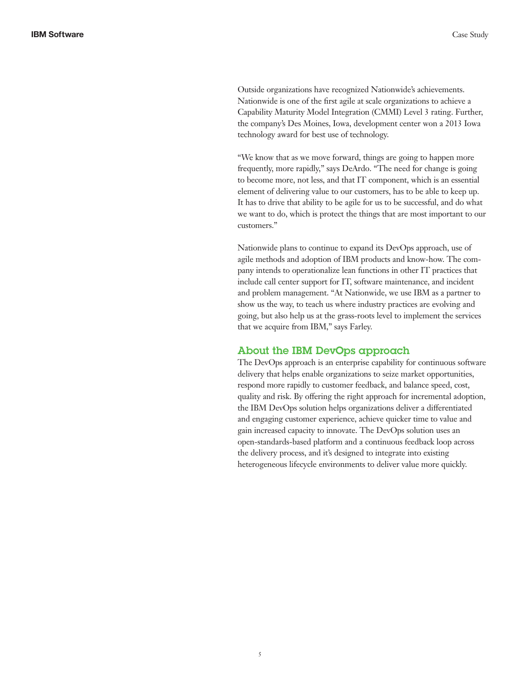Outside organizations have recognized Nationwide's achievements. Nationwide is one of the first agile at scale organizations to achieve a Capability Maturity Model Integration (CMMI) Level 3 rating. Further, the company's Des Moines, Iowa, development center won a 2013 Iowa technology award for best use of technology.

"We know that as we move forward, things are going to happen more frequently, more rapidly," says DeArdo. "The need for change is going to become more, not less, and that IT component, which is an essential element of delivering value to our customers, has to be able to keep up. It has to drive that ability to be agile for us to be successful, and do what we want to do, which is protect the things that are most important to our customers."

Nationwide plans to continue to expand its DevOps approach, use of agile methods and adoption of IBM products and know-how. The company intends to operationalize lean functions in other IT practices that include call center support for IT, software maintenance, and incident and problem management. "At Nationwide, we use IBM as a partner to show us the way, to teach us where industry practices are evolving and going, but also help us at the grass-roots level to implement the services that we acquire from IBM," says Farley.

### About the IBM DevOps approach

The DevOps approach is an enterprise capability for continuous software delivery that helps enable organizations to seize market opportunities, respond more rapidly to customer feedback, and balance speed, cost, quality and risk. By offering the right approach for incremental adoption, the IBM DevOps solution helps organizations deliver a differentiated and engaging customer experience, achieve quicker time to value and gain increased capacity to innovate. The DevOps solution uses an open-standards-based platform and a continuous feedback loop across the delivery process, and it's designed to integrate into existing heterogeneous lifecycle environments to deliver value more quickly.